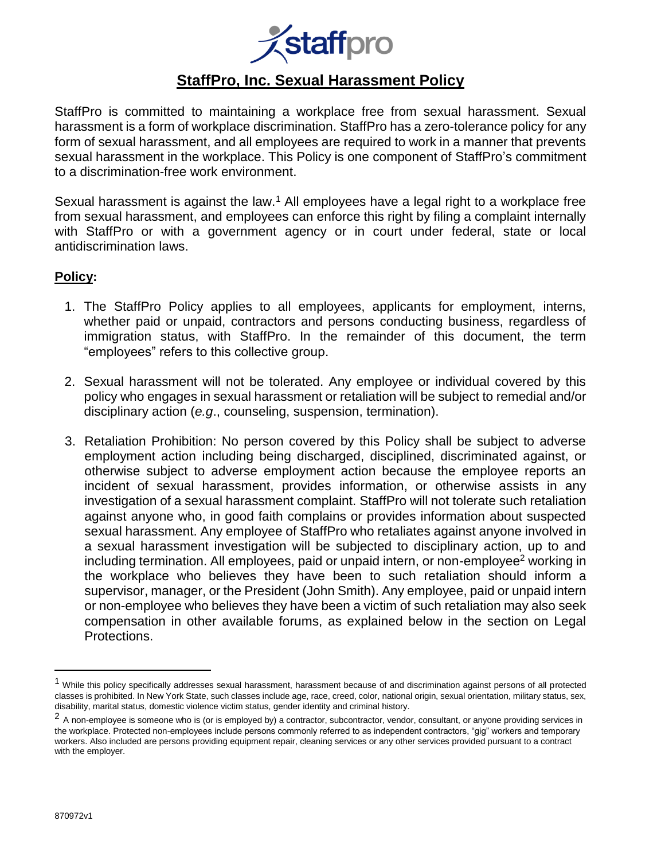

## **StaffPro, Inc. Sexual Harassment Policy**

StaffPro is committed to maintaining a workplace free from sexual harassment. Sexual harassment is a form of workplace discrimination. StaffPro has a zero-tolerance policy for any form of sexual harassment, and all employees are required to work in a manner that prevents sexual harassment in the workplace. This Policy is one component of StaffPro's commitment to a discrimination-free work environment.

Sexual harassment is against the law.<sup>1</sup> All employees have a legal right to a workplace free from sexual harassment, and employees can enforce this right by filing a complaint internally with StaffPro or with a government agency or in court under federal, state or local antidiscrimination laws.

#### **Policy:**

- 1. The StaffPro Policy applies to all employees, applicants for employment, interns, whether paid or unpaid, contractors and persons conducting business, regardless of immigration status, with StaffPro. In the remainder of this document, the term "employees" refers to this collective group.
- 2. Sexual harassment will not be tolerated. Any employee or individual covered by this policy who engages in sexual harassment or retaliation will be subject to remedial and/or disciplinary action (*e.g*., counseling, suspension, termination).
- 3. Retaliation Prohibition: No person covered by this Policy shall be subject to adverse employment action including being discharged, disciplined, discriminated against, or otherwise subject to adverse employment action because the employee reports an incident of sexual harassment, provides information, or otherwise assists in any investigation of a sexual harassment complaint. StaffPro will not tolerate such retaliation against anyone who, in good faith complains or provides information about suspected sexual harassment. Any employee of StaffPro who retaliates against anyone involved in a sexual harassment investigation will be subjected to disciplinary action, up to and including termination. All employees, paid or unpaid intern, or non-employee<sup>2</sup> working in the workplace who believes they have been to such retaliation should inform a supervisor, manager, or the President (John Smith). Any employee, paid or unpaid intern or non-employee who believes they have been a victim of such retaliation may also seek compensation in other available forums, as explained below in the section on Legal Protections.

 $\overline{a}$ 

<sup>&</sup>lt;sup>1</sup> While this policy specifically addresses sexual harassment, harassment because of and discrimination against persons of all protected classes is prohibited. In New York State, such classes include age, race, creed, color, national origin, sexual orientation, military status, sex, disability, marital status, domestic violence victim status, gender identity and criminal history.

<sup>&</sup>lt;sup>2</sup> A non-emplovee is someone who is (or is employed by) a contractor, subcontractor, vendor, consultant, or anyone providing services in the workplace. Protected non-employees include persons commonly referred to as independent contractors, "gig" workers and temporary workers. Also included are persons providing equipment repair, cleaning services or any other services provided pursuant to a contract with the employer.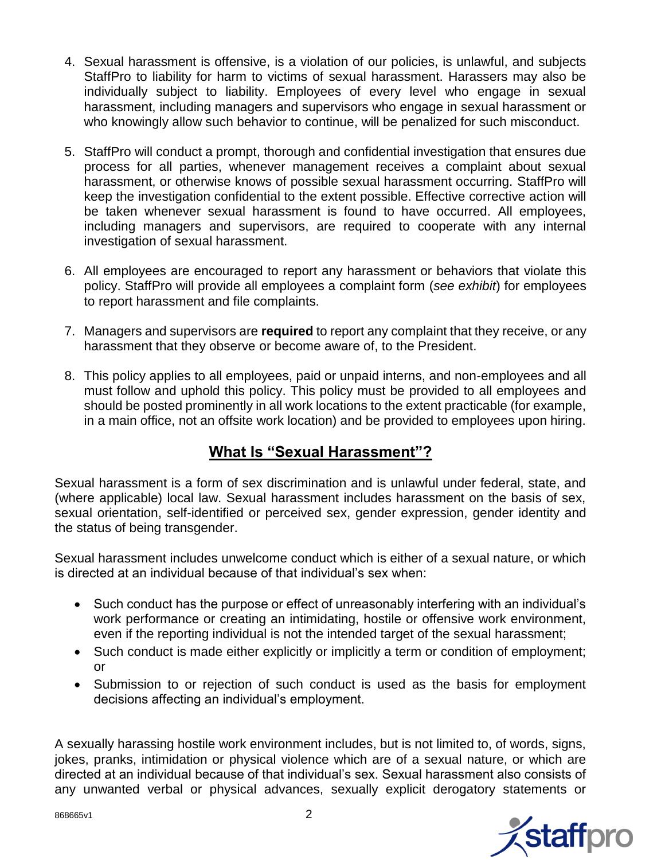- 4. Sexual harassment is offensive, is a violation of our policies, is unlawful, and subjects StaffPro to liability for harm to victims of sexual harassment. Harassers may also be individually subject to liability. Employees of every level who engage in sexual harassment, including managers and supervisors who engage in sexual harassment or who knowingly allow such behavior to continue, will be penalized for such misconduct.
- 5. StaffPro will conduct a prompt, thorough and confidential investigation that ensures due process for all parties, whenever management receives a complaint about sexual harassment, or otherwise knows of possible sexual harassment occurring. StaffPro will keep the investigation confidential to the extent possible. Effective corrective action will be taken whenever sexual harassment is found to have occurred. All employees, including managers and supervisors, are required to cooperate with any internal investigation of sexual harassment.
- 6. All employees are encouraged to report any harassment or behaviors that violate this policy. StaffPro will provide all employees a complaint form (*see exhibit*) for employees to report harassment and file complaints.
- 7. Managers and supervisors are **required** to report any complaint that they receive, or any harassment that they observe or become aware of, to the President.
- 8. This policy applies to all employees, paid or unpaid interns, and non-employees and all must follow and uphold this policy. This policy must be provided to all employees and should be posted prominently in all work locations to the extent practicable (for example, in a main office, not an offsite work location) and be provided to employees upon hiring.

# **What Is "Sexual Harassment"?**

Sexual harassment is a form of sex discrimination and is unlawful under federal, state, and (where applicable) local law. Sexual harassment includes harassment on the basis of sex, sexual orientation, self-identified or perceived sex, gender expression, gender identity and the status of being transgender.

Sexual harassment includes unwelcome conduct which is either of a sexual nature, or which is directed at an individual because of that individual's sex when:

- Such conduct has the purpose or effect of unreasonably interfering with an individual's work performance or creating an intimidating, hostile or offensive work environment, even if the reporting individual is not the intended target of the sexual harassment;
- Such conduct is made either explicitly or implicitly a term or condition of employment; or
- Submission to or rejection of such conduct is used as the basis for employment decisions affecting an individual's employment.

A sexually harassing hostile work environment includes, but is not limited to, of words, signs, jokes, pranks, intimidation or physical violence which are of a sexual nature, or which are directed at an individual because of that individual's sex. Sexual harassment also consists of any unwanted verbal or physical advances, sexually explicit derogatory statements or

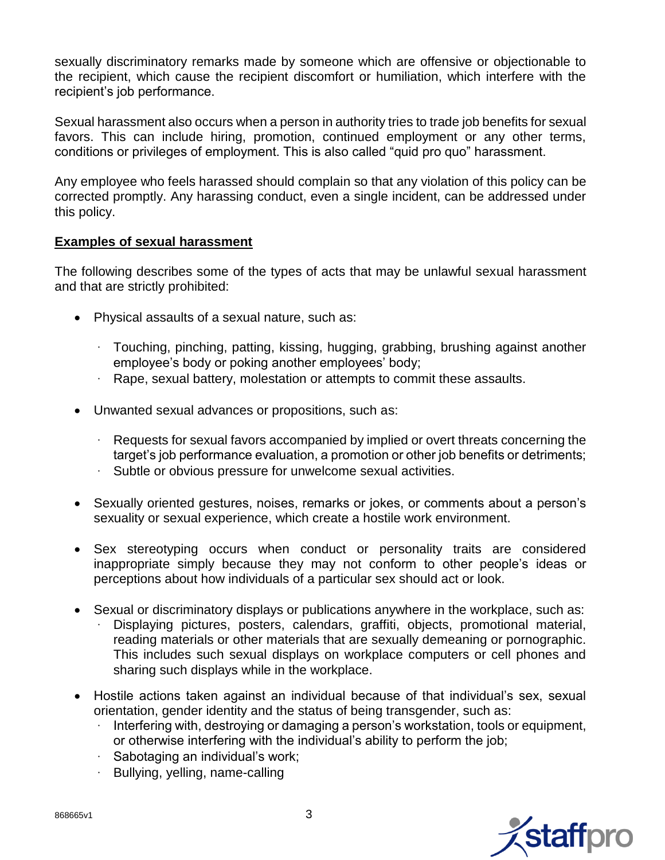sexually discriminatory remarks made by someone which are offensive or objectionable to the recipient, which cause the recipient discomfort or humiliation, which interfere with the recipient's job performance.

Sexual harassment also occurs when a person in authority tries to trade job benefits for sexual favors. This can include hiring, promotion, continued employment or any other terms, conditions or privileges of employment. This is also called "quid pro quo" harassment.

Any employee who feels harassed should complain so that any violation of this policy can be corrected promptly. Any harassing conduct, even a single incident, can be addressed under this policy.

#### **Examples of sexual harassment**

The following describes some of the types of acts that may be unlawful sexual harassment and that are strictly prohibited:

- Physical assaults of a sexual nature, such as:
	- · Touching, pinching, patting, kissing, hugging, grabbing, brushing against another employee's body or poking another employees' body;
	- · Rape, sexual battery, molestation or attempts to commit these assaults.
- Unwanted sexual advances or propositions, such as:
	- · Requests for sexual favors accompanied by implied or overt threats concerning the target's job performance evaluation, a promotion or other job benefits or detriments;
	- Subtle or obvious pressure for unwelcome sexual activities.
- Sexually oriented gestures, noises, remarks or jokes, or comments about a person's sexuality or sexual experience, which create a hostile work environment.
- Sex stereotyping occurs when conduct or personality traits are considered inappropriate simply because they may not conform to other people's ideas or perceptions about how individuals of a particular sex should act or look.
- Sexual or discriminatory displays or publications anywhere in the workplace, such as: Displaying pictures, posters, calendars, graffiti, objects, promotional material, reading materials or other materials that are sexually demeaning or pornographic. This includes such sexual displays on workplace computers or cell phones and sharing such displays while in the workplace.
- Hostile actions taken against an individual because of that individual's sex, sexual orientation, gender identity and the status of being transgender, such as:
	- Interfering with, destroying or damaging a person's workstation, tools or equipment, or otherwise interfering with the individual's ability to perform the job;
	- · Sabotaging an individual's work;
	- Bullying, yelling, name-calling

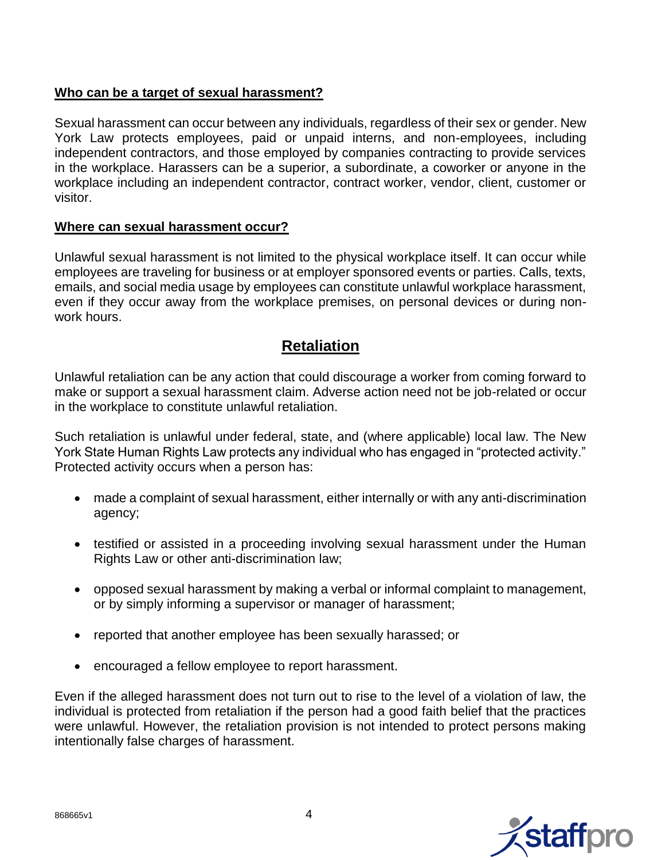### **Who can be a target of sexual harassment?**

Sexual harassment can occur between any individuals, regardless of their sex or gender. New York Law protects employees, paid or unpaid interns, and non-employees, including independent contractors, and those employed by companies contracting to provide services in the workplace. Harassers can be a superior, a subordinate, a coworker or anyone in the workplace including an independent contractor, contract worker, vendor, client, customer or visitor.

### **Where can sexual harassment occur?**

Unlawful sexual harassment is not limited to the physical workplace itself. It can occur while employees are traveling for business or at employer sponsored events or parties. Calls, texts, emails, and social media usage by employees can constitute unlawful workplace harassment, even if they occur away from the workplace premises, on personal devices or during nonwork hours.

## **Retaliation**

Unlawful retaliation can be any action that could discourage a worker from coming forward to make or support a sexual harassment claim. Adverse action need not be job-related or occur in the workplace to constitute unlawful retaliation.

Such retaliation is unlawful under federal, state, and (where applicable) local law. The New York State Human Rights Law protects any individual who has engaged in "protected activity." Protected activity occurs when a person has:

- made a complaint of sexual harassment, either internally or with any anti-discrimination agency;
- testified or assisted in a proceeding involving sexual harassment under the Human Rights Law or other anti-discrimination law;
- opposed sexual harassment by making a verbal or informal complaint to management, or by simply informing a supervisor or manager of harassment;
- reported that another employee has been sexually harassed; or
- encouraged a fellow employee to report harassment.

Even if the alleged harassment does not turn out to rise to the level of a violation of law, the individual is protected from retaliation if the person had a good faith belief that the practices were unlawful. However, the retaliation provision is not intended to protect persons making intentionally false charges of harassment.

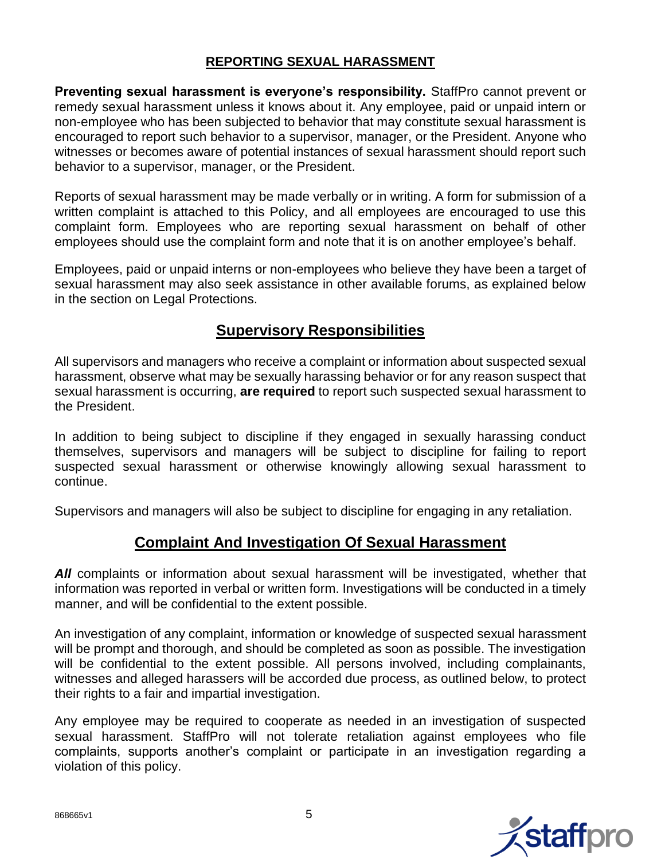### **REPORTING SEXUAL HARASSMENT**

**Preventing sexual harassment is everyone's responsibility.** StaffPro cannot prevent or remedy sexual harassment unless it knows about it. Any employee, paid or unpaid intern or non-employee who has been subjected to behavior that may constitute sexual harassment is encouraged to report such behavior to a supervisor, manager, or the President. Anyone who witnesses or becomes aware of potential instances of sexual harassment should report such behavior to a supervisor, manager, or the President.

Reports of sexual harassment may be made verbally or in writing. A form for submission of a written complaint is attached to this Policy, and all employees are encouraged to use this complaint form. Employees who are reporting sexual harassment on behalf of other employees should use the complaint form and note that it is on another employee's behalf.

Employees, paid or unpaid interns or non-employees who believe they have been a target of sexual harassment may also seek assistance in other available forums, as explained below in the section on Legal Protections.

## **Supervisory Responsibilities**

All supervisors and managers who receive a complaint or information about suspected sexual harassment, observe what may be sexually harassing behavior or for any reason suspect that sexual harassment is occurring, **are required** to report such suspected sexual harassment to the President.

In addition to being subject to discipline if they engaged in sexually harassing conduct themselves, supervisors and managers will be subject to discipline for failing to report suspected sexual harassment or otherwise knowingly allowing sexual harassment to continue.

Supervisors and managers will also be subject to discipline for engaging in any retaliation.

# **Complaint And Investigation Of Sexual Harassment**

**All** complaints or information about sexual harassment will be investigated, whether that information was reported in verbal or written form. Investigations will be conducted in a timely manner, and will be confidential to the extent possible.

An investigation of any complaint, information or knowledge of suspected sexual harassment will be prompt and thorough, and should be completed as soon as possible. The investigation will be confidential to the extent possible. All persons involved, including complainants, witnesses and alleged harassers will be accorded due process, as outlined below, to protect their rights to a fair and impartial investigation.

Any employee may be required to cooperate as needed in an investigation of suspected sexual harassment. StaffPro will not tolerate retaliation against employees who file complaints, supports another's complaint or participate in an investigation regarding a violation of this policy.

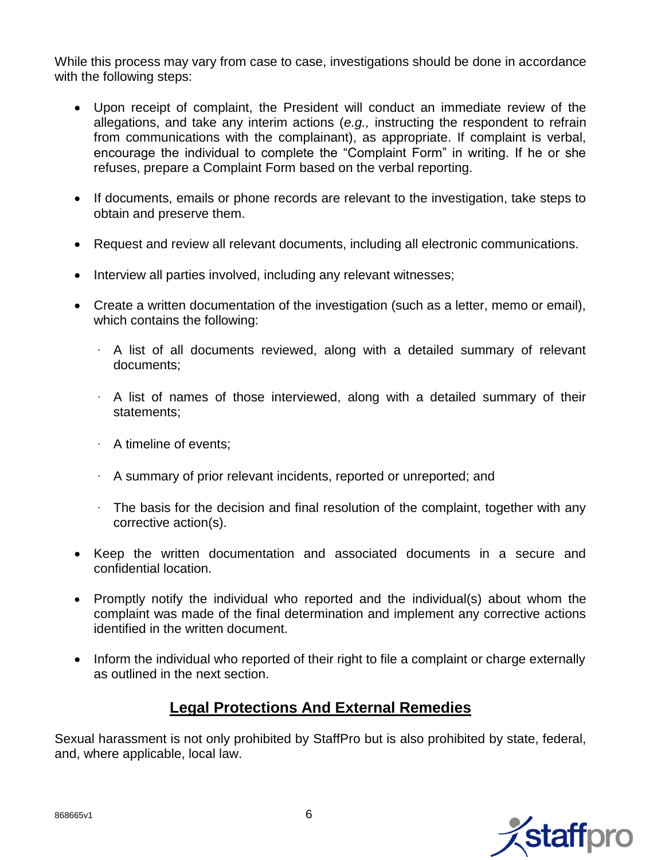While this process may vary from case to case, investigations should be done in accordance with the following steps:

- Upon receipt of complaint, the President will conduct an immediate review of the allegations, and take any interim actions (*e.g.,* instructing the respondent to refrain from communications with the complainant), as appropriate. If complaint is verbal, encourage the individual to complete the "Complaint Form" in writing. If he or she refuses, prepare a Complaint Form based on the verbal reporting.
- If documents, emails or phone records are relevant to the investigation, take steps to obtain and preserve them.
- Request and review all relevant documents, including all electronic communications.
- Interview all parties involved, including any relevant witnesses;
- Create a written documentation of the investigation (such as a letter, memo or email), which contains the following:
	- · A list of all documents reviewed, along with a detailed summary of relevant documents;
	- · A list of names of those interviewed, along with a detailed summary of their statements;
	- · A timeline of events;
	- · A summary of prior relevant incidents, reported or unreported; and
	- $\cdot$  The basis for the decision and final resolution of the complaint, together with any corrective action(s).
- Keep the written documentation and associated documents in a secure and confidential location.
- Promptly notify the individual who reported and the individual(s) about whom the complaint was made of the final determination and implement any corrective actions identified in the written document.
- Inform the individual who reported of their right to file a complaint or charge externally as outlined in the next section.

## **Legal Protections And External Remedies**

Sexual harassment is not only prohibited by StaffPro but is also prohibited by state, federal, and, where applicable, local law.

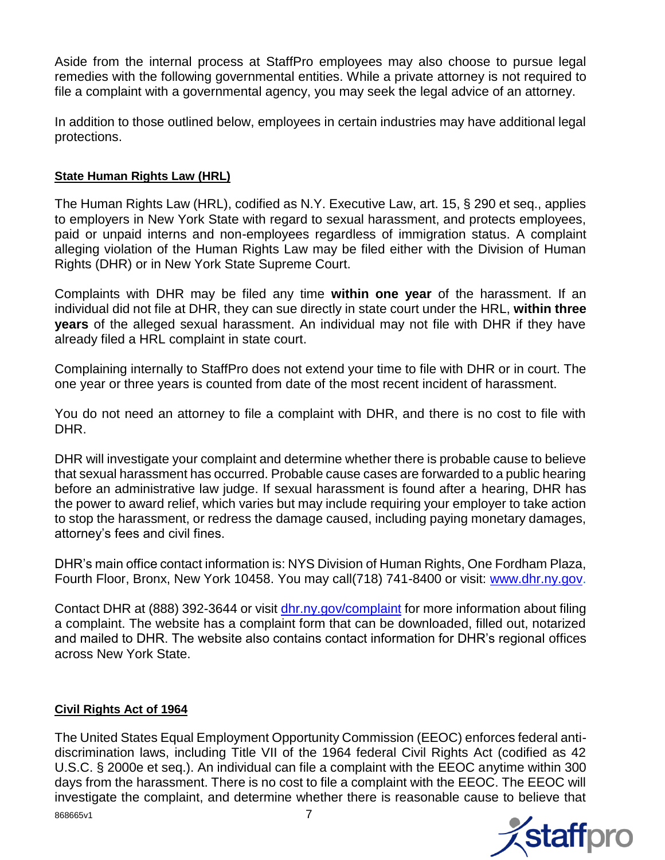Aside from the internal process at StaffPro employees may also choose to pursue legal remedies with the following governmental entities. While a private attorney is not required to file a complaint with a governmental agency, you may seek the legal advice of an attorney.

In addition to those outlined below, employees in certain industries may have additional legal protections.

### **State Human Rights Law (HRL)**

The Human Rights Law (HRL), codified as N.Y. Executive Law, art. 15, § 290 et seq., applies to employers in New York State with regard to sexual harassment, and protects employees, paid or unpaid interns and non-employees regardless of immigration status. A complaint alleging violation of the Human Rights Law may be filed either with the Division of Human Rights (DHR) or in New York State Supreme Court.

Complaints with DHR may be filed any time **within one year** of the harassment. If an individual did not file at DHR, they can sue directly in state court under the HRL, **within three years** of the alleged sexual harassment. An individual may not file with DHR if they have already filed a HRL complaint in state court.

Complaining internally to StaffPro does not extend your time to file with DHR or in court. The one year or three years is counted from date of the most recent incident of harassment.

You do not need an attorney to file a complaint with DHR, and there is no cost to file with DHR.

DHR will investigate your complaint and determine whether there is probable cause to believe that sexual harassment has occurred. Probable cause cases are forwarded to a public hearing before an administrative law judge. If sexual harassment is found after a hearing, DHR has the power to award relief, which varies but may include requiring your employer to take action to stop the harassment, or redress the damage caused, including paying monetary damages, attorney's fees and civil fines.

DHR's main office contact information is: NYS Division of Human Rights, One Fordham Plaza, Fourth Floor, Bronx, New York 10458. You may call(718) 741-8400 or visit: [www.dhr.ny.gov.](http://www.dhr.ny.gov/)

Contact DHR at (888) 392-3644 or visit dhr.ny.gov/complaint for more information about filing a complaint. The website has a complaint form that can be downloaded, filled out, notarized and mailed to DHR. The website also contains contact information for DHR's regional offices across New York State.

#### **Civil Rights Act of 1964**

868665v1 7 The United States Equal Employment Opportunity Commission (EEOC) enforces federal antidiscrimination laws, including Title VII of the 1964 federal Civil Rights Act (codified as 42 U.S.C. § 2000e et seq.). An individual can file a complaint with the EEOC anytime within 300 days from the harassment. There is no cost to file a complaint with the EEOC. The EEOC will investigate the complaint, and determine whether there is reasonable cause to believe that